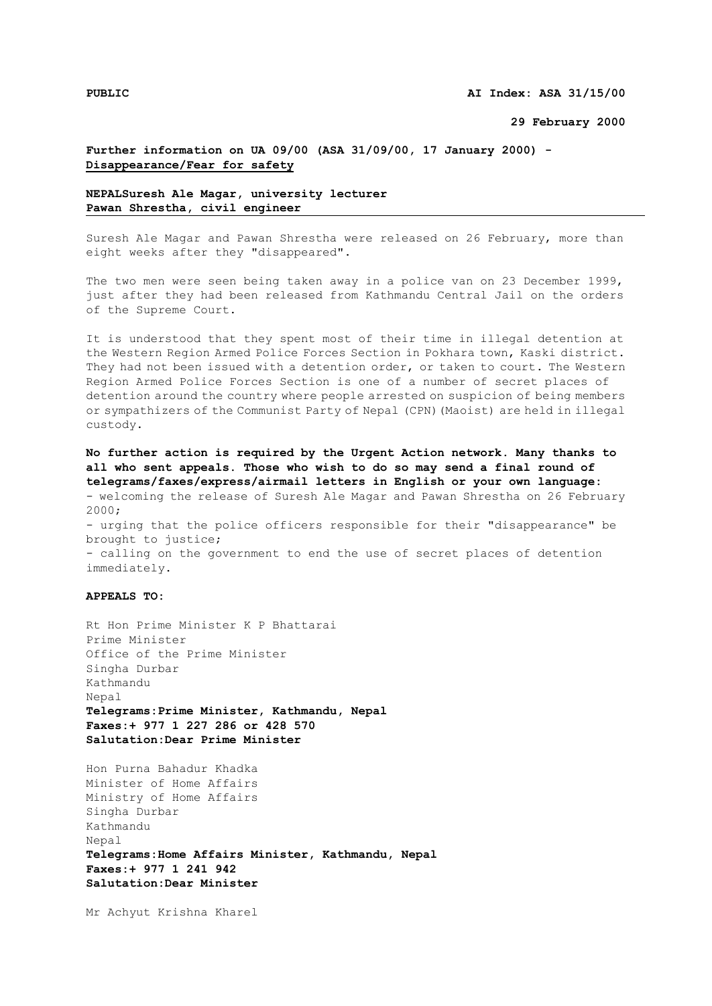**29 February 2000**

## **Further information on UA 09/00 (ASA 31/09/00, 17 January 2000) - Disappearance/Fear for safety**

## **NEPALSuresh Ale Magar, university lecturer Pawan Shrestha, civil engineer**

Suresh Ale Magar and Pawan Shrestha were released on 26 February, more than eight weeks after they "disappeared".

The two men were seen being taken away in a police van on 23 December 1999, just after they had been released from Kathmandu Central Jail on the orders of the Supreme Court.

It is understood that they spent most of their time in illegal detention at the Western Region Armed Police Forces Section in Pokhara town, Kaski district. They had not been issued with a detention order, or taken to court. The Western Region Armed Police Forces Section is one of a number of secret places of detention around the country where people arrested on suspicion of being members or sympathizers of the Communist Party of Nepal (CPN)(Maoist) are held in illegal custody.

**No further action is required by the Urgent Action network. Many thanks to all who sent appeals. Those who wish to do so may send a final round of telegrams/faxes/express/airmail letters in English or your own language:** - welcoming the release of Suresh Ale Magar and Pawan Shrestha on 26 February 2000; - urging that the police officers responsible for their "disappearance" be brought to justice; - calling on the government to end the use of secret places of detention immediately.

## **APPEALS TO:**

Rt Hon Prime Minister K P Bhattarai Prime Minister Office of the Prime Minister Singha Durbar Kathmandu Nepal **Telegrams:Prime Minister, Kathmandu, Nepal Faxes:+ 977 1 227 286 or 428 570 Salutation:Dear Prime Minister**

Hon Purna Bahadur Khadka Minister of Home Affairs Ministry of Home Affairs Singha Durbar Kathmandu Nepal **Telegrams:Home Affairs Minister, Kathmandu, Nepal Faxes:+ 977 1 241 942 Salutation:Dear Minister**

Mr Achyut Krishna Kharel